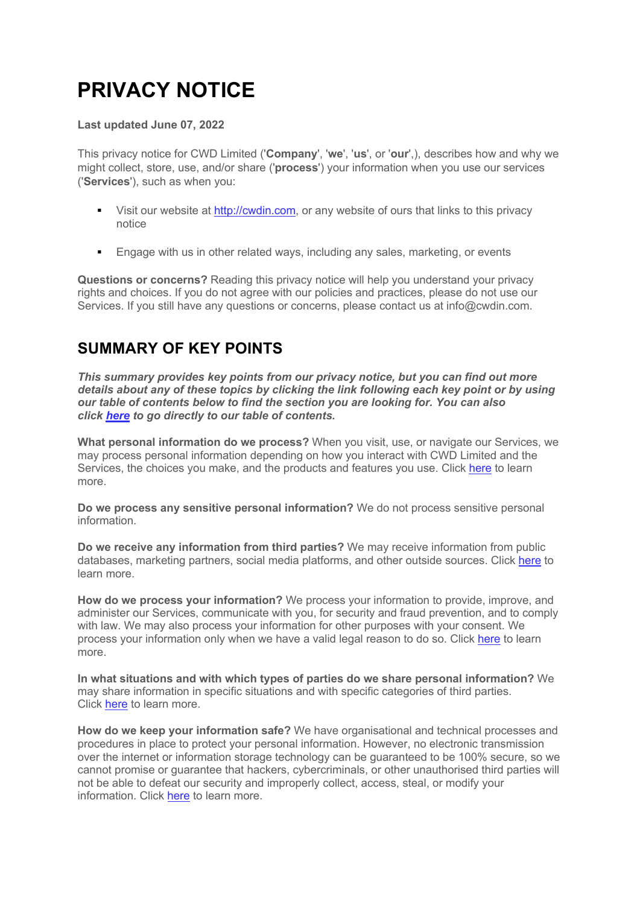# **PRIVACY NOTICE**

#### **Last updated June 07, 2022**

This privacy notice for CWD Limited ('**Company**', '**we**', '**us**', or '**our**',), describes how and why we might collect, store, use, and/or share ('**process**') your information when you use our services ('**Services**'), such as when you:

- Visit our website at http://cwdin.com, or any website of ours that links to this privacy notice
- Engage with us in other related ways, including any sales, marketing, or events

**Questions or concerns?** Reading this privacy notice will help you understand your privacy rights and choices. If you do not agree with our policies and practices, please do not use our Services. If you still have any questions or concerns, please contact us at info@cwdin.com.

#### **SUMMARY OF KEY POINTS**

*This summary provides key points from our privacy notice, but you can find out more details about any of these topics by clicking the link following each key point or by using our table of contents below to find the section you are looking for. You can also click here to go directly to our table of contents.*

**What personal information do we process?** When you visit, use, or navigate our Services, we may process personal information depending on how you interact with CWD Limited and the Services, the choices you make, and the products and features you use. Click here to learn more.

**Do we process any sensitive personal information?** We do not process sensitive personal information.

**Do we receive any information from third parties?** We may receive information from public databases, marketing partners, social media platforms, and other outside sources. Click here to learn more.

**How do we process your information?** We process your information to provide, improve, and administer our Services, communicate with you, for security and fraud prevention, and to comply with law. We may also process your information for other purposes with your consent. We process your information only when we have a valid legal reason to do so. Click here to learn more.

**In what situations and with which types of parties do we share personal information?** We may share information in specific situations and with specific categories of third parties. Click here to learn more.

**How do we keep your information safe?** We have organisational and technical processes and procedures in place to protect your personal information. However, no electronic transmission over the internet or information storage technology can be guaranteed to be 100% secure, so we cannot promise or guarantee that hackers, cybercriminals, or other unauthorised third parties will not be able to defeat our security and improperly collect, access, steal, or modify your information. Click here to learn more.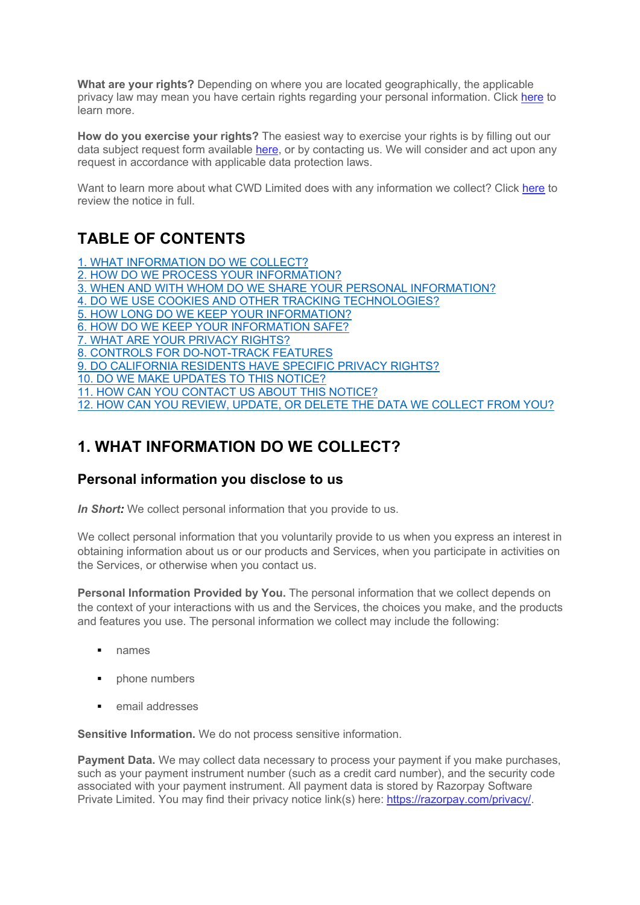**What are your rights?** Depending on where you are located geographically, the applicable privacy law may mean you have certain rights regarding your personal information. Click here to learn more.

**How do you exercise your rights?** The easiest way to exercise your rights is by filling out our data subject request form available here, or by contacting us. We will consider and act upon any request in accordance with applicable data protection laws.

Want to learn more about what CWD Limited does with any information we collect? Click here to review the notice in full.

#### **TABLE OF CONTENTS**

1. WHAT INFORMATION DO WE COLLECT? 2. HOW DO WE PROCESS YOUR INFORMATION? 3. WHEN AND WITH WHOM DO WE SHARE YOUR PERSONAL INFORMATION? 4. DO WE USE COOKIES AND OTHER TRACKING TECHNOLOGIES? 5. HOW LONG DO WE KEEP YOUR INFORMATION? 6. HOW DO WE KEEP YOUR INFORMATION SAFE? 7. WHAT ARE YOUR PRIVACY RIGHTS? 8. CONTROLS FOR DO-NOT-TRACK FEATURES 9. DO CALIFORNIA RESIDENTS HAVE SPECIFIC PRIVACY RIGHTS? 10. DO WE MAKE UPDATES TO THIS NOTICE? 11. HOW CAN YOU CONTACT US ABOUT THIS NOTICE? 12. HOW CAN YOU REVIEW, UPDATE, OR DELETE THE DATA WE COLLECT FROM YOU?

#### **1. WHAT INFORMATION DO WE COLLECT?**

#### **Personal information you disclose to us**

*In Short:* We collect personal information that you provide to us.

We collect personal information that you voluntarily provide to us when you express an interest in obtaining information about us or our products and Services, when you participate in activities on the Services, or otherwise when you contact us.

**Personal Information Provided by You.** The personal information that we collect depends on the context of your interactions with us and the Services, the choices you make, and the products and features you use. The personal information we collect may include the following:

- § names
- phone numbers
- email addresses

**Sensitive Information.** We do not process sensitive information.

**Payment Data.** We may collect data necessary to process your payment if you make purchases, such as your payment instrument number (such as a credit card number), and the security code associated with your payment instrument. All payment data is stored by Razorpay Software Private Limited. You may find their privacy notice link(s) here: https://razorpay.com/privacy/.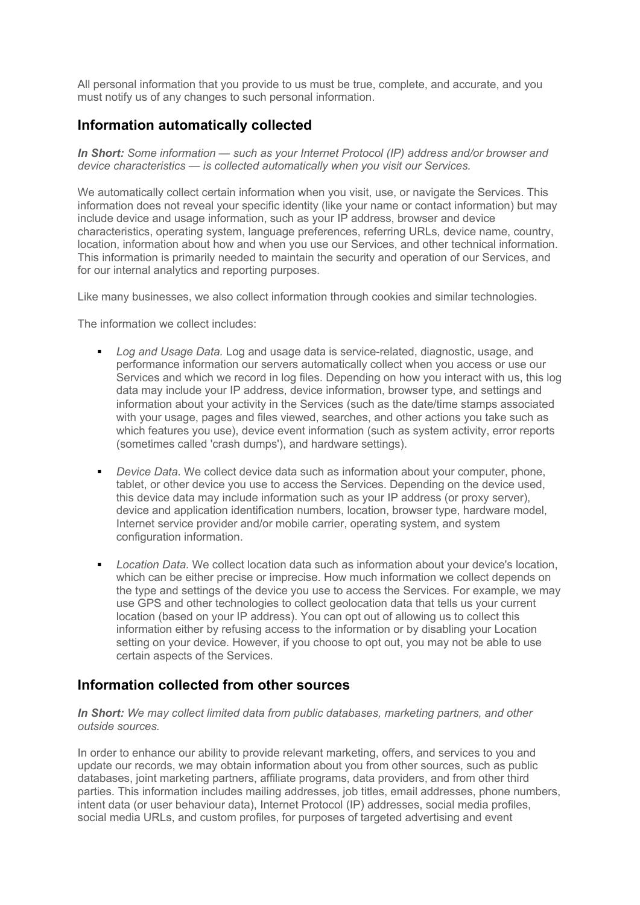All personal information that you provide to us must be true, complete, and accurate, and you must notify us of any changes to such personal information.

#### **Information automatically collected**

*In Short: Some information — such as your Internet Protocol (IP) address and/or browser and device characteristics — is collected automatically when you visit our Services.*

We automatically collect certain information when you visit, use, or navigate the Services. This information does not reveal your specific identity (like your name or contact information) but may include device and usage information, such as your IP address, browser and device characteristics, operating system, language preferences, referring URLs, device name, country, location, information about how and when you use our Services, and other technical information. This information is primarily needed to maintain the security and operation of our Services, and for our internal analytics and reporting purposes.

Like many businesses, we also collect information through cookies and similar technologies.

The information we collect includes:

- *Log and Usage Data.* Log and usage data is service-related, diagnostic, usage, and performance information our servers automatically collect when you access or use our Services and which we record in log files. Depending on how you interact with us, this log data may include your IP address, device information, browser type, and settings and information about your activity in the Services (such as the date/time stamps associated with your usage, pages and files viewed, searches, and other actions you take such as which features you use), device event information (such as system activity, error reports (sometimes called 'crash dumps'), and hardware settings).
- § *Device Data.* We collect device data such as information about your computer, phone, tablet, or other device you use to access the Services. Depending on the device used, this device data may include information such as your IP address (or proxy server), device and application identification numbers, location, browser type, hardware model, Internet service provider and/or mobile carrier, operating system, and system configuration information.
- *Location Data*. We collect location data such as information about your device's location, which can be either precise or imprecise. How much information we collect depends on the type and settings of the device you use to access the Services. For example, we may use GPS and other technologies to collect geolocation data that tells us your current location (based on your IP address). You can opt out of allowing us to collect this information either by refusing access to the information or by disabling your Location setting on your device. However, if you choose to opt out, you may not be able to use certain aspects of the Services.

#### **Information collected from other sources**

*In Short: We may collect limited data from public databases, marketing partners, and other outside sources.*

In order to enhance our ability to provide relevant marketing, offers, and services to you and update our records, we may obtain information about you from other sources, such as public databases, joint marketing partners, affiliate programs, data providers, and from other third parties. This information includes mailing addresses, job titles, email addresses, phone numbers, intent data (or user behaviour data), Internet Protocol (IP) addresses, social media profiles, social media URLs, and custom profiles, for purposes of targeted advertising and event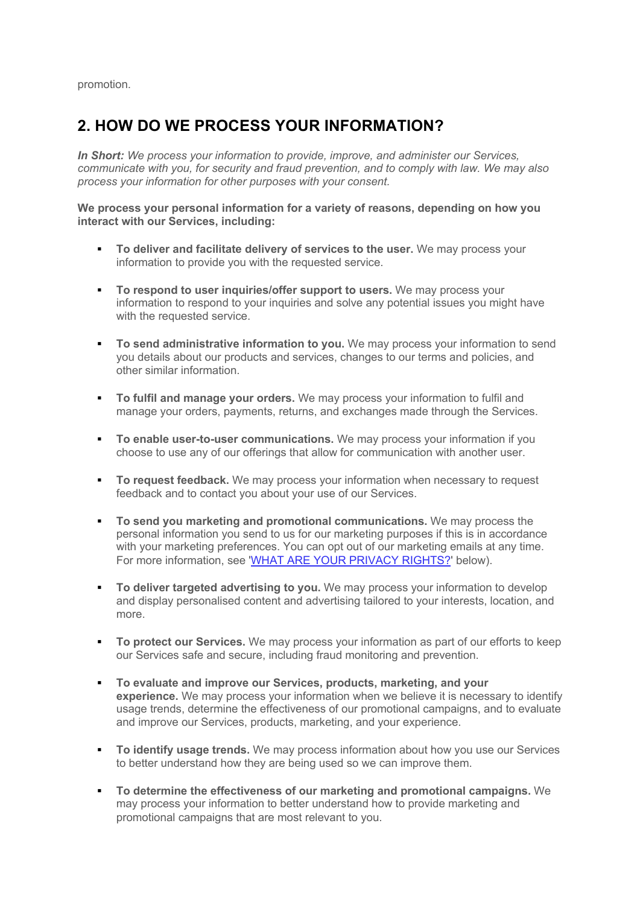promotion.

#### **2. HOW DO WE PROCESS YOUR INFORMATION?**

*In Short: We process your information to provide, improve, and administer our Services, communicate with you, for security and fraud prevention, and to comply with law. We may also process your information for other purposes with your consent.*

**We process your personal information for a variety of reasons, depending on how you interact with our Services, including:**

- § **To deliver and facilitate delivery of services to the user.** We may process your information to provide you with the requested service.
- **To respond to user inquiries/offer support to users.** We may process your information to respond to your inquiries and solve any potential issues you might have with the requested service.
- **To send administrative information to you.** We may process your information to send you details about our products and services, changes to our terms and policies, and other similar information.
- § **To fulfil and manage your orders.** We may process your information to fulfil and manage your orders, payments, returns, and exchanges made through the Services.
- **To enable user-to-user communications.** We may process your information if you choose to use any of our offerings that allow for communication with another user.
- **To request feedback.** We may process your information when necessary to request feedback and to contact you about your use of our Services.
- § **To send you marketing and promotional communications.** We may process the personal information you send to us for our marketing purposes if this is in accordance with your marketing preferences. You can opt out of our marketing emails at any time. For more information, see 'WHAT ARE YOUR PRIVACY RIGHTS?' below).
- **To deliver targeted advertising to you.** We may process your information to develop and display personalised content and advertising tailored to your interests, location, and more.
- **To protect our Services.** We may process your information as part of our efforts to keep our Services safe and secure, including fraud monitoring and prevention.
- § **To evaluate and improve our Services, products, marketing, and your experience.** We may process your information when we believe it is necessary to identify usage trends, determine the effectiveness of our promotional campaigns, and to evaluate and improve our Services, products, marketing, and your experience.
- **To identify usage trends.** We may process information about how you use our Services to better understand how they are being used so we can improve them.
- § **To determine the effectiveness of our marketing and promotional campaigns.** We may process your information to better understand how to provide marketing and promotional campaigns that are most relevant to you.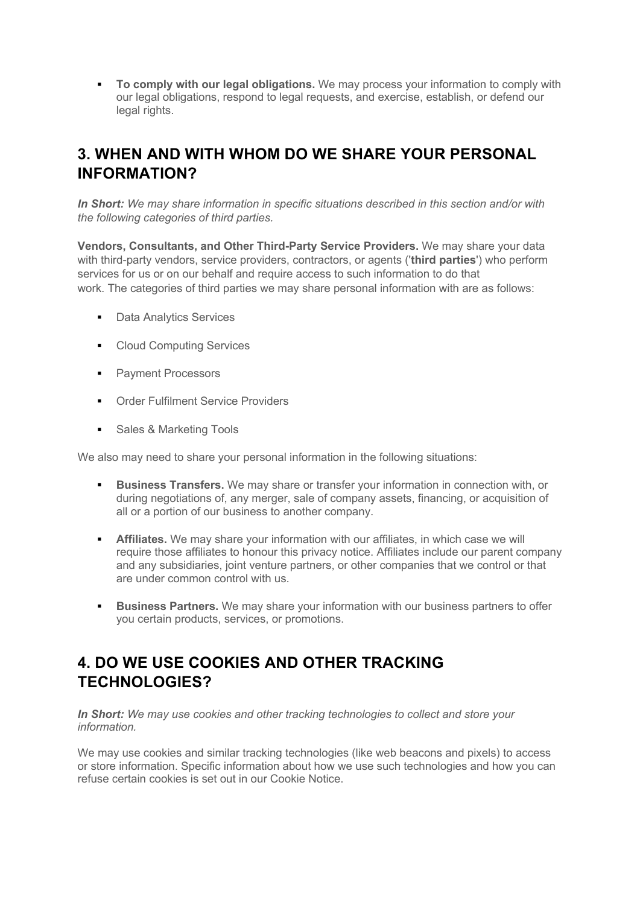**To comply with our legal obligations.** We may process your information to comply with our legal obligations, respond to legal requests, and exercise, establish, or defend our legal rights.

#### **3. WHEN AND WITH WHOM DO WE SHARE YOUR PERSONAL INFORMATION?**

*In Short: We may share information in specific situations described in this section and/or with the following categories of third parties.*

**Vendors, Consultants, and Other Third-Party Service Providers.** We may share your data with third-party vendors, service providers, contractors, or agents ('**third parties**') who perform services for us or on our behalf and require access to such information to do that work. The categories of third parties we may share personal information with are as follows:

- Data Analytics Services
- Cloud Computing Services
- Payment Processors
- Order Fulfilment Service Providers
- Sales & Marketing Tools

We also may need to share your personal information in the following situations:

- **Business Transfers.** We may share or transfer your information in connection with, or during negotiations of, any merger, sale of company assets, financing, or acquisition of all or a portion of our business to another company.
- **Affiliates.** We may share your information with our affiliates, in which case we will require those affiliates to honour this privacy notice. Affiliates include our parent company and any subsidiaries, joint venture partners, or other companies that we control or that are under common control with us.
- **Business Partners.** We may share your information with our business partners to offer you certain products, services, or promotions.

#### **4. DO WE USE COOKIES AND OTHER TRACKING TECHNOLOGIES?**

*In Short: We may use cookies and other tracking technologies to collect and store your information.*

We may use cookies and similar tracking technologies (like web beacons and pixels) to access or store information. Specific information about how we use such technologies and how you can refuse certain cookies is set out in our Cookie Notice.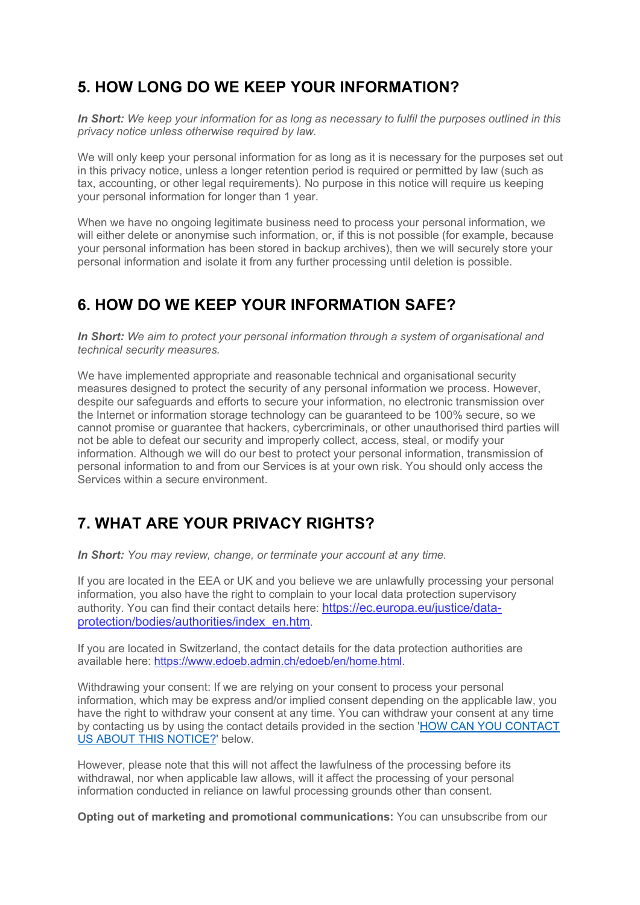## **5. HOW LONG DO WE KEEP YOUR INFORMATION?**

*In Short: We keep your information for as long as necessary to fulfil the purposes outlined in this privacy notice unless otherwise required by law.*

We will only keep your personal information for as long as it is necessary for the purposes set out in this privacy notice, unless a longer retention period is required or permitted by law (such as tax, accounting, or other legal requirements). No purpose in this notice will require us keeping your personal information for longer than 1 year.

When we have no ongoing legitimate business need to process your personal information, we will either delete or anonymise such information, or, if this is not possible (for example, because your personal information has been stored in backup archives), then we will securely store your personal information and isolate it from any further processing until deletion is possible.

#### **6. HOW DO WE KEEP YOUR INFORMATION SAFE?**

**In Short:** We aim to protect your personal information through a system of organisational and *technical security measures.*

We have implemented appropriate and reasonable technical and organisational security measures designed to protect the security of any personal information we process. However, despite our safeguards and efforts to secure your information, no electronic transmission over the Internet or information storage technology can be guaranteed to be 100% secure, so we cannot promise or guarantee that hackers, cybercriminals, or other unauthorised third parties will not be able to defeat our security and improperly collect, access, steal, or modify your information. Although we will do our best to protect your personal information, transmission of personal information to and from our Services is at your own risk. You should only access the Services within a secure environment.

## **7. WHAT ARE YOUR PRIVACY RIGHTS?**

*In Short: You may review, change, or terminate your account at any time.*

If you are located in the EEA or UK and you believe we are unlawfully processing your personal information, you also have the right to complain to your local data protection supervisory authority. You can find their contact details here: https://ec.europa.eu/justice/dataprotection/bodies/authorities/index\_en.htm.

If you are located in Switzerland, the contact details for the data protection authorities are available here: https://www.edoeb.admin.ch/edoeb/en/home.html.

Withdrawing your consent: If we are relying on your consent to process your personal information, which may be express and/or implied consent depending on the applicable law, you have the right to withdraw your consent at any time. You can withdraw your consent at any time by contacting us by using the contact details provided in the section 'HOW CAN YOU CONTACT US ABOUT THIS NOTICE?' below.

However, please note that this will not affect the lawfulness of the processing before its withdrawal, nor when applicable law allows, will it affect the processing of your personal information conducted in reliance on lawful processing grounds other than consent.

**Opting out of marketing and promotional communications:** You can unsubscribe from our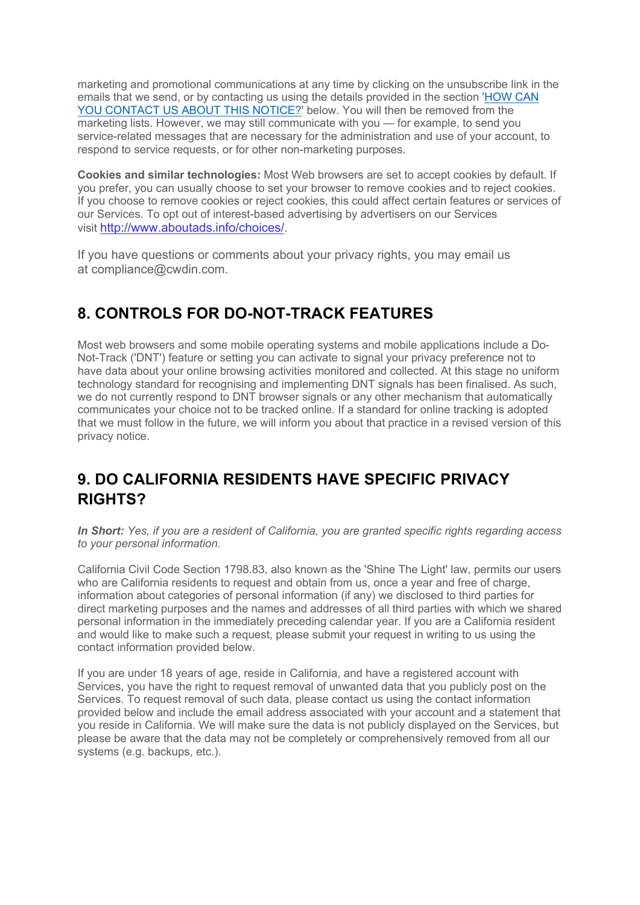marketing and promotional communications at any time by clicking on the unsubscribe link in the emails that we send, or by contacting us using the details provided in the section 'HOW CAN YOU CONTACT US ABOUT THIS NOTICE?' below. You will then be removed from the marketing lists. However, we may still communicate with you — for example, to send you service-related messages that are necessary for the administration and use of your account, to respond to service requests, or for other non-marketing purposes.

**Cookies and similar technologies:** Most Web browsers are set to accept cookies by default. If you prefer, you can usually choose to set your browser to remove cookies and to reject cookies. If you choose to remove cookies or reject cookies, this could affect certain features or services of our Services. To opt out of interest-based advertising by advertisers on our Services visit http://www.aboutads.info/choices/.

If you have questions or comments about your privacy rights, you may email us at compliance@cwdin.com.

#### **8. CONTROLS FOR DO-NOT-TRACK FEATURES**

Most web browsers and some mobile operating systems and mobile applications include a Do-Not-Track ('DNT') feature or setting you can activate to signal your privacy preference not to have data about your online browsing activities monitored and collected. At this stage no uniform technology standard for recognising and implementing DNT signals has been finalised. As such, we do not currently respond to DNT browser signals or any other mechanism that automatically communicates your choice not to be tracked online. If a standard for online tracking is adopted that we must follow in the future, we will inform you about that practice in a revised version of this privacy notice.

#### **9. DO CALIFORNIA RESIDENTS HAVE SPECIFIC PRIVACY RIGHTS?**

*In Short: Yes, if you are a resident of California, you are granted specific rights regarding access to your personal information.*

California Civil Code Section 1798.83, also known as the 'Shine The Light' law, permits our users who are California residents to request and obtain from us, once a year and free of charge, information about categories of personal information (if any) we disclosed to third parties for direct marketing purposes and the names and addresses of all third parties with which we shared personal information in the immediately preceding calendar year. If you are a California resident and would like to make such a request, please submit your request in writing to us using the contact information provided below.

If you are under 18 years of age, reside in California, and have a registered account with Services, you have the right to request removal of unwanted data that you publicly post on the Services. To request removal of such data, please contact us using the contact information provided below and include the email address associated with your account and a statement that you reside in California. We will make sure the data is not publicly displayed on the Services, but please be aware that the data may not be completely or comprehensively removed from all our systems (e.g. backups, etc.).